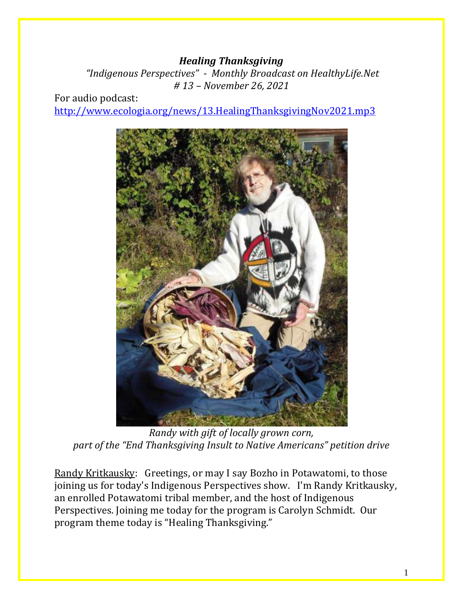#### *Healing Thanksgiving*

*"Indigenous Perspectives" - Monthly Broadcast on HealthyLife.Net # 13 – November 26, 2021*

For audio podcast: <http://www.ecologia.org/news/13.HealingThanksgivingNov2021.mp3>



*Randy with gift of locally grown corn, part of the "End Thanksgiving Insult to Native Americans" petition drive*

Randy Kritkausky: Greetings, or may I say Bozho in Potawatomi, to those joining us for today's Indigenous Perspectives show. I'm Randy Kritkausky, an enrolled Potawatomi tribal member, and the host of Indigenous Perspectives. Joining me today for the program is Carolyn Schmidt. Our program theme today is "Healing Thanksgiving."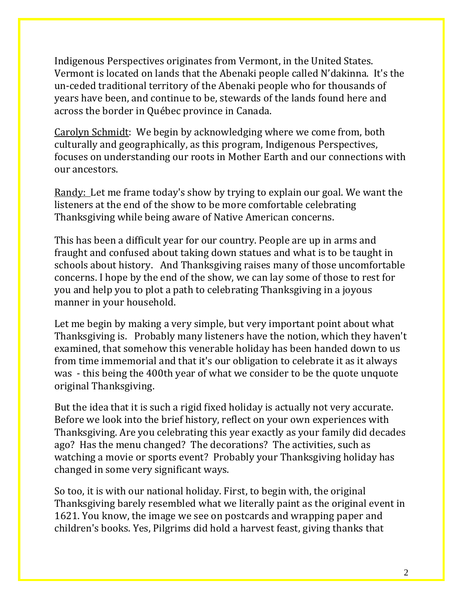Indigenous Perspectives originates from Vermont, in the United States. Vermont is located on lands that the Abenaki people called N'dakinna. It's the un-ceded traditional territory of the Abenaki people who for thousands of years have been, and continue to be, stewards of the lands found here and across the border in Québec province in Canada.

Carolyn Schmidt: We begin by acknowledging where we come from, both culturally and geographically, as this program, Indigenous Perspectives, focuses on understanding our roots in Mother Earth and our connections with our ancestors.

Randy: Let me frame today's show by trying to explain our goal. We want the listeners at the end of the show to be more comfortable celebrating Thanksgiving while being aware of Native American concerns.

This has been a difficult year for our country. People are up in arms and fraught and confused about taking down statues and what is to be taught in schools about history. And Thanksgiving raises many of those uncomfortable concerns. I hope by the end of the show, we can lay some of those to rest for you and help you to plot a path to celebrating Thanksgiving in a joyous manner in your household.

Let me begin by making a very simple, but very important point about what Thanksgiving is. Probably many listeners have the notion, which they haven't examined, that somehow this venerable holiday has been handed down to us from time immemorial and that it's our obligation to celebrate it as it always was - this being the 400th year of what we consider to be the quote unquote original Thanksgiving.

But the idea that it is such a rigid fixed holiday is actually not very accurate. Before we look into the brief history, reflect on your own experiences with Thanksgiving. Are you celebrating this year exactly as your family did decades ago? Has the menu changed? The decorations? The activities, such as watching a movie or sports event? Probably your Thanksgiving holiday has changed in some very significant ways.

So too, it is with our national holiday. First, to begin with, the original Thanksgiving barely resembled what we literally paint as the original event in 1621. You know, the image we see on postcards and wrapping paper and children's books. Yes, Pilgrims did hold a harvest feast, giving thanks that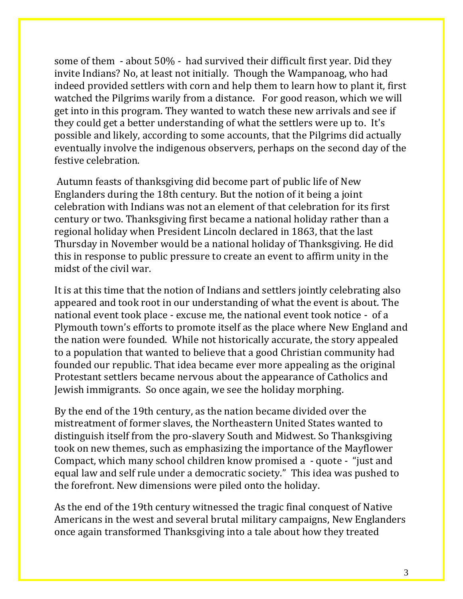some of them - about 50% - had survived their difficult first year. Did they invite Indians? No, at least not initially. Though the Wampanoag, who had indeed provided settlers with corn and help them to learn how to plant it, first watched the Pilgrims warily from a distance. For good reason, which we will get into in this program. They wanted to watch these new arrivals and see if they could get a better understanding of what the settlers were up to. It's possible and likely, according to some accounts, that the Pilgrims did actually eventually involve the indigenous observers, perhaps on the second day of the festive celebration.

Autumn feasts of thanksgiving did become part of public life of New Englanders during the 18th century. But the notion of it being a joint celebration with Indians was not an element of that celebration for its first century or two. Thanksgiving first became a national holiday rather than a regional holiday when President Lincoln declared in 1863, that the last Thursday in November would be a national holiday of Thanksgiving. He did this in response to public pressure to create an event to affirm unity in the midst of the civil war.

It is at this time that the notion of Indians and settlers jointly celebrating also appeared and took root in our understanding of what the event is about. The national event took place - excuse me, the national event took notice - of a Plymouth town's efforts to promote itself as the place where New England and the nation were founded. While not historically accurate, the story appealed to a population that wanted to believe that a good Christian community had founded our republic. That idea became ever more appealing as the original Protestant settlers became nervous about the appearance of Catholics and Jewish immigrants. So once again, we see the holiday morphing.

By the end of the 19th century, as the nation became divided over the mistreatment of former slaves, the Northeastern United States wanted to distinguish itself from the pro-slavery South and Midwest. So Thanksgiving took on new themes, such as emphasizing the importance of the Mayflower Compact, which many school children know promised a - quote - "just and equal law and self rule under a democratic society." This idea was pushed to the forefront. New dimensions were piled onto the holiday.

As the end of the 19th century witnessed the tragic final conquest of Native Americans in the west and several brutal military campaigns, New Englanders once again transformed Thanksgiving into a tale about how they treated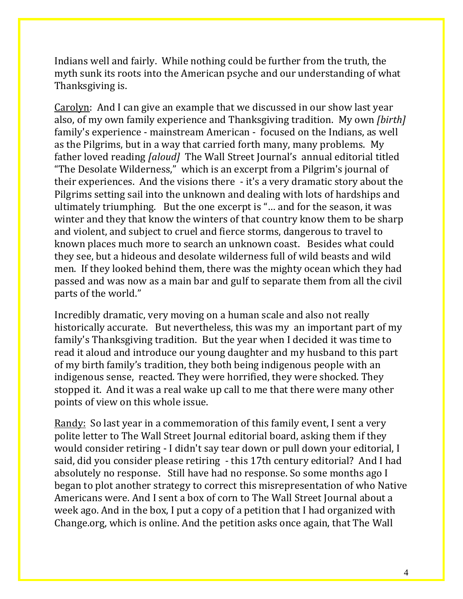Indians well and fairly. While nothing could be further from the truth, the myth sunk its roots into the American psyche and our understanding of what Thanksgiving is.

Carolyn: And I can give an example that we discussed in our show last year also, of my own family experience and Thanksgiving tradition. My own *[birth]*  family's experience - mainstream American - focused on the Indians, as well as the Pilgrims, but in a way that carried forth many, many problems. My father loved reading *[aloud]* The Wall Street Journal's annual editorial titled "The Desolate Wilderness," which is an excerpt from a Pilgrim's journal of their experiences. And the visions there - it's a very dramatic story about the Pilgrims setting sail into the unknown and dealing with lots of hardships and ultimately triumphing. But the one excerpt is "… and for the season, it was winter and they that know the winters of that country know them to be sharp and violent, and subject to cruel and fierce storms, dangerous to travel to known places much more to search an unknown coast. Besides what could they see, but a hideous and desolate wilderness full of wild beasts and wild men. If they looked behind them, there was the mighty ocean which they had passed and was now as a main bar and gulf to separate them from all the civil parts of the world."

Incredibly dramatic, very moving on a human scale and also not really historically accurate. But nevertheless, this was my an important part of my family's Thanksgiving tradition. But the year when I decided it was time to read it aloud and introduce our young daughter and my husband to this part of my birth family's tradition, they both being indigenous people with an indigenous sense, reacted. They were horrified, they were shocked. They stopped it. And it was a real wake up call to me that there were many other points of view on this whole issue.

Randy: So last year in a commemoration of this family event, I sent a very polite letter to The Wall Street Journal editorial board, asking them if they would consider retiring - I didn't say tear down or pull down your editorial, I said, did you consider please retiring - this 17th century editorial? And I had absolutely no response. Still have had no response. So some months ago I began to plot another strategy to correct this misrepresentation of who Native Americans were. And I sent a box of corn to The Wall Street Journal about a week ago. And in the box, I put a copy of a petition that I had organized with Change.org, which is online. And the petition asks once again, that The Wall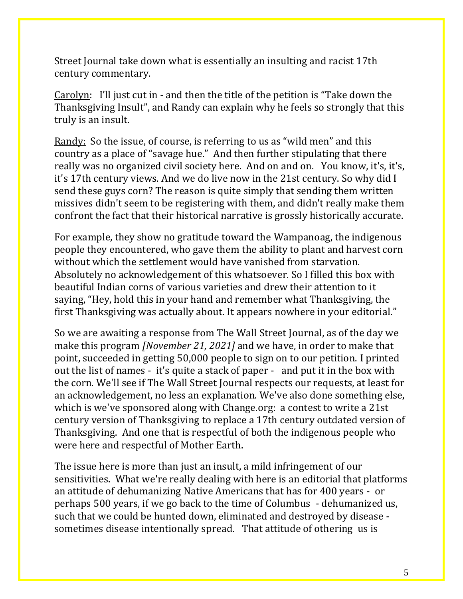Street Journal take down what is essentially an insulting and racist 17th century commentary.

Carolyn: I'll just cut in - and then the title of the petition is "Take down the Thanksgiving Insult", and Randy can explain why he feels so strongly that this truly is an insult.

Randy: So the issue, of course, is referring to us as "wild men" and this country as a place of "savage hue." And then further stipulating that there really was no organized civil society here. And on and on. You know, it's, it's, it's 17th century views. And we do live now in the 21st century. So why did I send these guys corn? The reason is quite simply that sending them written missives didn't seem to be registering with them, and didn't really make them confront the fact that their historical narrative is grossly historically accurate.

For example, they show no gratitude toward the Wampanoag, the indigenous people they encountered, who gave them the ability to plant and harvest corn without which the settlement would have vanished from starvation. Absolutely no acknowledgement of this whatsoever. So I filled this box with beautiful Indian corns of various varieties and drew their attention to it saying, "Hey, hold this in your hand and remember what Thanksgiving, the first Thanksgiving was actually about. It appears nowhere in your editorial."

So we are awaiting a response from The Wall Street Journal, as of the day we make this program *[November 21, 2021]* and we have, in order to make that point, succeeded in getting 50,000 people to sign on to our petition. I printed out the list of names - it's quite a stack of paper - and put it in the box with the corn. We'll see if The Wall Street Journal respects our requests, at least for an acknowledgement, no less an explanation. We've also done something else, which is we've sponsored along with Change.org: a contest to write a 21st century version of Thanksgiving to replace a 17th century outdated version of Thanksgiving. And one that is respectful of both the indigenous people who were here and respectful of Mother Earth.

The issue here is more than just an insult, a mild infringement of our sensitivities. What we're really dealing with here is an editorial that platforms an attitude of dehumanizing Native Americans that has for 400 years - or perhaps 500 years, if we go back to the time of Columbus - dehumanized us, such that we could be hunted down, eliminated and destroyed by disease sometimes disease intentionally spread. That attitude of othering us is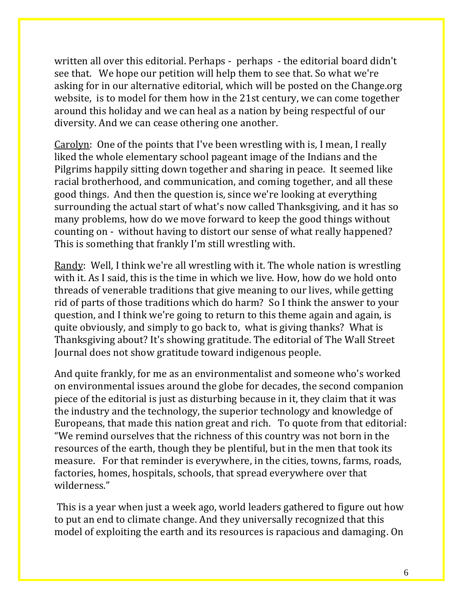written all over this editorial. Perhaps - perhaps - the editorial board didn't see that. We hope our petition will help them to see that. So what we're asking for in our alternative editorial, which will be posted on the Change.org website, is to model for them how in the 21st century, we can come together around this holiday and we can heal as a nation by being respectful of our diversity. And we can cease othering one another.

Carolyn: One of the points that I've been wrestling with is, I mean, I really liked the whole elementary school pageant image of the Indians and the Pilgrims happily sitting down together and sharing in peace. It seemed like racial brotherhood, and communication, and coming together, and all these good things. And then the question is, since we're looking at everything surrounding the actual start of what's now called Thanksgiving, and it has so many problems, how do we move forward to keep the good things without counting on - without having to distort our sense of what really happened? This is something that frankly I'm still wrestling with.

Randy: Well, I think we're all wrestling with it. The whole nation is wrestling with it. As I said, this is the time in which we live. How, how do we hold onto threads of venerable traditions that give meaning to our lives, while getting rid of parts of those traditions which do harm? So I think the answer to your question, and I think we're going to return to this theme again and again, is quite obviously, and simply to go back to, what is giving thanks? What is Thanksgiving about? It's showing gratitude. The editorial of The Wall Street Journal does not show gratitude toward indigenous people.

And quite frankly, for me as an environmentalist and someone who's worked on environmental issues around the globe for decades, the second companion piece of the editorial is just as disturbing because in it, they claim that it was the industry and the technology, the superior technology and knowledge of Europeans, that made this nation great and rich. To quote from that editorial: "We remind ourselves that the richness of this country was not born in the resources of the earth, though they be plentiful, but in the men that took its measure. For that reminder is everywhere, in the cities, towns, farms, roads, factories, homes, hospitals, schools, that spread everywhere over that wilderness."

This is a year when just a week ago, world leaders gathered to figure out how to put an end to climate change. And they universally recognized that this model of exploiting the earth and its resources is rapacious and damaging. On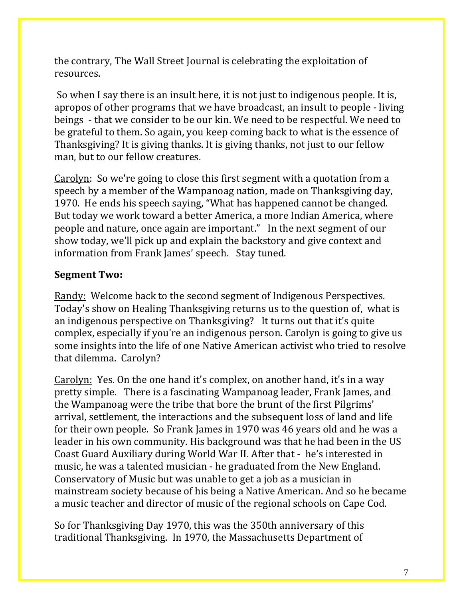the contrary, The Wall Street Journal is celebrating the exploitation of resources.

So when I say there is an insult here, it is not just to indigenous people. It is, apropos of other programs that we have broadcast, an insult to people - living beings - that we consider to be our kin. We need to be respectful. We need to be grateful to them. So again, you keep coming back to what is the essence of Thanksgiving? It is giving thanks. It is giving thanks, not just to our fellow man, but to our fellow creatures.

Carolyn: So we're going to close this first segment with a quotation from a speech by a member of the Wampanoag nation, made on Thanksgiving day, 1970. He ends his speech saying, "What has happened cannot be changed. But today we work toward a better America, a more Indian America, where people and nature, once again are important." In the next segment of our show today, we'll pick up and explain the backstory and give context and information from Frank James' speech. Stay tuned.

## **Segment Two:**

Randy: Welcome back to the second segment of Indigenous Perspectives. Today's show on Healing Thanksgiving returns us to the question of, what is an indigenous perspective on Thanksgiving? It turns out that it's quite complex, especially if you're an indigenous person. Carolyn is going to give us some insights into the life of one Native American activist who tried to resolve that dilemma. Carolyn?

Carolyn: Yes. On the one hand it's complex, on another hand, it's in a way pretty simple. There is a fascinating Wampanoag leader, Frank James, and the Wampanoag were the tribe that bore the brunt of the first Pilgrims' arrival, settlement, the interactions and the subsequent loss of land and life for their own people. So Frank James in 1970 was 46 years old and he was a leader in his own community. His background was that he had been in the US Coast Guard Auxiliary during World War II. After that - he's interested in music, he was a talented musician - he graduated from the New England. Conservatory of Music but was unable to get a job as a musician in mainstream society because of his being a Native American. And so he became a music teacher and director of music of the regional schools on Cape Cod.

So for Thanksgiving Day 1970, this was the 350th anniversary of this traditional Thanksgiving. In 1970, the Massachusetts Department of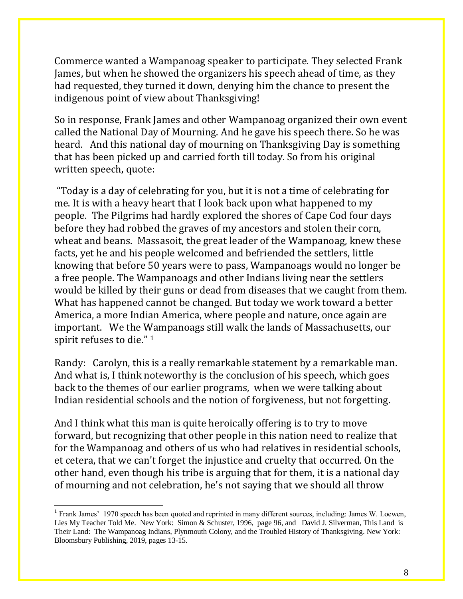Commerce wanted a Wampanoag speaker to participate. They selected Frank James, but when he showed the organizers his speech ahead of time, as they had requested, they turned it down, denying him the chance to present the indigenous point of view about Thanksgiving!

So in response, Frank James and other Wampanoag organized their own event called the National Day of Mourning. And he gave his speech there. So he was heard. And this national day of mourning on Thanksgiving Day is something that has been picked up and carried forth till today. So from his original written speech, quote:

"Today is a day of celebrating for you, but it is not a time of celebrating for me. It is with a heavy heart that I look back upon what happened to my people. The Pilgrims had hardly explored the shores of Cape Cod four days before they had robbed the graves of my ancestors and stolen their corn, wheat and beans. Massasoit, the great leader of the Wampanoag, knew these facts, yet he and his people welcomed and befriended the settlers, little knowing that before 50 years were to pass, Wampanoags would no longer be a free people. The Wampanoags and other Indians living near the settlers would be killed by their guns or dead from diseases that we caught from them. What has happened cannot be changed. But today we work toward a better America, a more Indian America, where people and nature, once again are important. We the Wampanoags still walk the lands of Massachusetts, our spirit refuses to die." <sup>1</sup>

Randy: Carolyn, this is a really remarkable statement by a remarkable man. And what is, I think noteworthy is the conclusion of his speech, which goes back to the themes of our earlier programs, when we were talking about Indian residential schools and the notion of forgiveness, but not forgetting.

And I think what this man is quite heroically offering is to try to move forward, but recognizing that other people in this nation need to realize that for the Wampanoag and others of us who had relatives in residential schools, et cetera, that we can't forget the injustice and cruelty that occurred. On the other hand, even though his tribe is arguing that for them, it is a national day of mourning and not celebration, he's not saying that we should all throw

 $\overline{a}$ 

<sup>&</sup>lt;sup>1</sup> Frank James' 1970 speech has been quoted and reprinted in many different sources, including: James W. Loewen, Lies My Teacher Told Me. New York: Simon & Schuster, 1996, page 96, and David J. Silverman, This Land is Their Land: The Wampanoag Indians, Plynmouth Colony, and the Troubled History of Thanksgiving. New York: Bloomsbury Publishing, 2019, pages 13-15.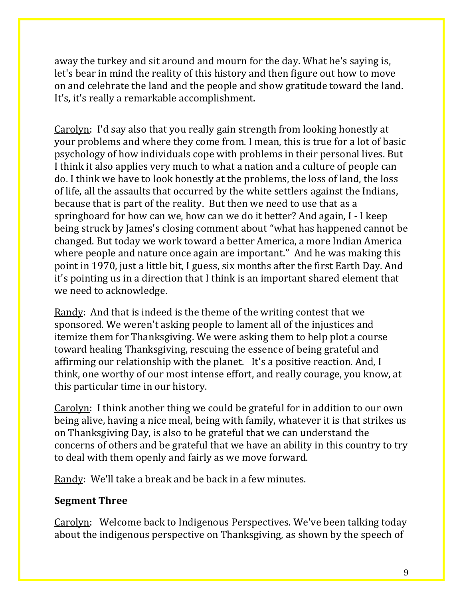away the turkey and sit around and mourn for the day. What he's saying is, let's bear in mind the reality of this history and then figure out how to move on and celebrate the land and the people and show gratitude toward the land. It's, it's really a remarkable accomplishment.

Carolyn: I'd say also that you really gain strength from looking honestly at your problems and where they come from. I mean, this is true for a lot of basic psychology of how individuals cope with problems in their personal lives. But I think it also applies very much to what a nation and a culture of people can do. I think we have to look honestly at the problems, the loss of land, the loss of life, all the assaults that occurred by the white settlers against the Indians, because that is part of the reality. But then we need to use that as a springboard for how can we, how can we do it better? And again, I - I keep being struck by James's closing comment about "what has happened cannot be changed. But today we work toward a better America, a more Indian America where people and nature once again are important." And he was making this point in 1970, just a little bit, I guess, six months after the first Earth Day. And it's pointing us in a direction that I think is an important shared element that we need to acknowledge.

Randy: And that is indeed is the theme of the writing contest that we sponsored. We weren't asking people to lament all of the injustices and itemize them for Thanksgiving. We were asking them to help plot a course toward healing Thanksgiving, rescuing the essence of being grateful and affirming our relationship with the planet. It's a positive reaction. And, I think, one worthy of our most intense effort, and really courage, you know, at this particular time in our history.

Carolyn: I think another thing we could be grateful for in addition to our own being alive, having a nice meal, being with family, whatever it is that strikes us on Thanksgiving Day, is also to be grateful that we can understand the concerns of others and be grateful that we have an ability in this country to try to deal with them openly and fairly as we move forward.

Randy: We'll take a break and be back in a few minutes.

### **Segment Three**

Carolyn: Welcome back to Indigenous Perspectives. We've been talking today about the indigenous perspective on Thanksgiving, as shown by the speech of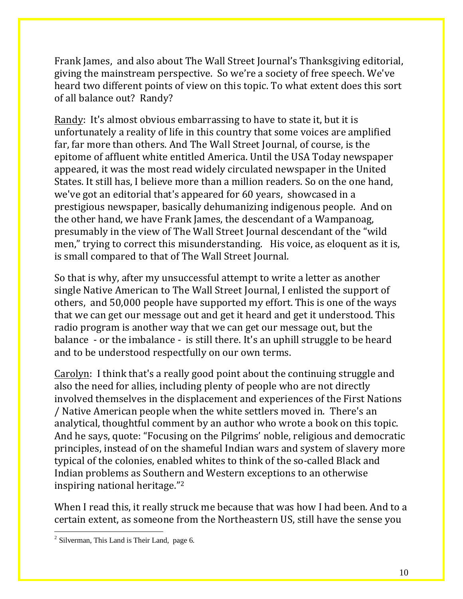Frank James, and also about The Wall Street Journal's Thanksgiving editorial, giving the mainstream perspective. So we're a society of free speech. We've heard two different points of view on this topic. To what extent does this sort of all balance out? Randy?

Randy: It's almost obvious embarrassing to have to state it, but it is unfortunately a reality of life in this country that some voices are amplified far, far more than others. And The Wall Street Journal, of course, is the epitome of affluent white entitled America. Until the USA Today newspaper appeared, it was the most read widely circulated newspaper in the United States. It still has, I believe more than a million readers. So on the one hand, we've got an editorial that's appeared for 60 years, showcased in a prestigious newspaper, basically dehumanizing indigenous people. And on the other hand, we have Frank James, the descendant of a Wampanoag, presumably in the view of The Wall Street Journal descendant of the "wild men," trying to correct this misunderstanding. His voice, as eloquent as it is, is small compared to that of The Wall Street Journal.

So that is why, after my unsuccessful attempt to write a letter as another single Native American to The Wall Street Journal, I enlisted the support of others, and 50,000 people have supported my effort. This is one of the ways that we can get our message out and get it heard and get it understood. This radio program is another way that we can get our message out, but the balance - or the imbalance - is still there. It's an uphill struggle to be heard and to be understood respectfully on our own terms.

Carolyn: I think that's a really good point about the continuing struggle and also the need for allies, including plenty of people who are not directly involved themselves in the displacement and experiences of the First Nations / Native American people when the white settlers moved in. There's an analytical, thoughtful comment by an author who wrote a book on this topic. And he says, quote: "Focusing on the Pilgrims' noble, religious and democratic principles, instead of on the shameful Indian wars and system of slavery more typical of the colonies, enabled whites to think of the so-called Black and Indian problems as Southern and Western exceptions to an otherwise inspiring national heritage." 2

When I read this, it really struck me because that was how I had been. And to a certain extent, as someone from the Northeastern US, still have the sense you

 $\overline{a}$ 

 $2$  Silverman, This Land is Their Land, page 6.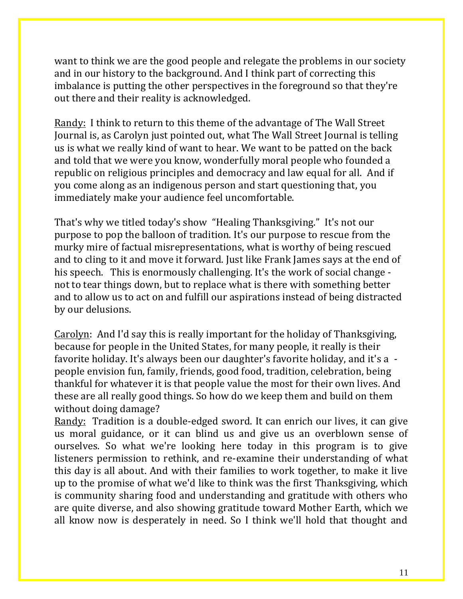want to think we are the good people and relegate the problems in our society and in our history to the background. And I think part of correcting this imbalance is putting the other perspectives in the foreground so that they're out there and their reality is acknowledged.

Randy: I think to return to this theme of the advantage of The Wall Street Journal is, as Carolyn just pointed out, what The Wall Street Journal is telling us is what we really kind of want to hear. We want to be patted on the back and told that we were you know, wonderfully moral people who founded a republic on religious principles and democracy and law equal for all. And if you come along as an indigenous person and start questioning that, you immediately make your audience feel uncomfortable.

That's why we titled today's show "Healing Thanksgiving." It's not our purpose to pop the balloon of tradition. It's our purpose to rescue from the murky mire of factual misrepresentations, what is worthy of being rescued and to cling to it and move it forward. Just like Frank James says at the end of his speech. This is enormously challenging. It's the work of social change not to tear things down, but to replace what is there with something better and to allow us to act on and fulfill our aspirations instead of being distracted by our delusions.

Carolyn: And I'd say this is really important for the holiday of Thanksgiving, because for people in the United States, for many people, it really is their favorite holiday. It's always been our daughter's favorite holiday, and it's a people envision fun, family, friends, good food, tradition, celebration, being thankful for whatever it is that people value the most for their own lives. And these are all really good things. So how do we keep them and build on them without doing damage?

Randy: Tradition is a double-edged sword. It can enrich our lives, it can give us moral guidance, or it can blind us and give us an overblown sense of ourselves. So what we're looking here today in this program is to give listeners permission to rethink, and re-examine their understanding of what this day is all about. And with their families to work together, to make it live up to the promise of what we'd like to think was the first Thanksgiving, which is community sharing food and understanding and gratitude with others who are quite diverse, and also showing gratitude toward Mother Earth, which we all know now is desperately in need. So I think we'll hold that thought and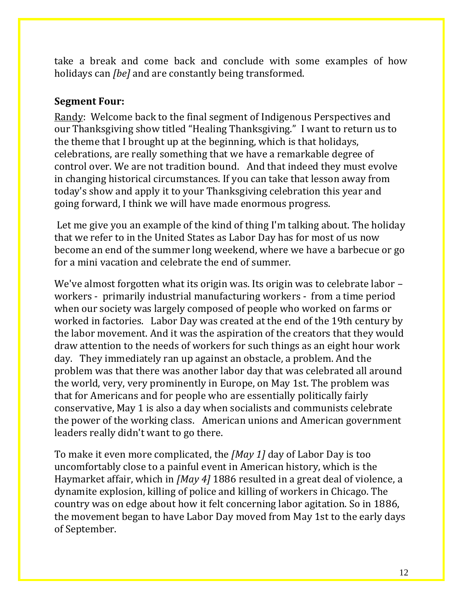take a break and come back and conclude with some examples of how holidays can *[be]* and are constantly being transformed.

#### **Segment Four:**

Randy: Welcome back to the final segment of Indigenous Perspectives and our Thanksgiving show titled "Healing Thanksgiving." I want to return us to the theme that I brought up at the beginning, which is that holidays, celebrations, are really something that we have a remarkable degree of control over. We are not tradition bound. And that indeed they must evolve in changing historical circumstances. If you can take that lesson away from today's show and apply it to your Thanksgiving celebration this year and going forward, I think we will have made enormous progress.

Let me give you an example of the kind of thing I'm talking about. The holiday that we refer to in the United States as Labor Day has for most of us now become an end of the summer long weekend, where we have a barbecue or go for a mini vacation and celebrate the end of summer.

We've almost forgotten what its origin was. Its origin was to celebrate labor – workers - primarily industrial manufacturing workers - from a time period when our society was largely composed of people who worked on farms or worked in factories. Labor Day was created at the end of the 19th century by the labor movement. And it was the aspiration of the creators that they would draw attention to the needs of workers for such things as an eight hour work day. They immediately ran up against an obstacle, a problem. And the problem was that there was another labor day that was celebrated all around the world, very, very prominently in Europe, on May 1st. The problem was that for Americans and for people who are essentially politically fairly conservative, May 1 is also a day when socialists and communists celebrate the power of the working class. American unions and American government leaders really didn't want to go there.

To make it even more complicated, the *[May 1]* day of Labor Day is too uncomfortably close to a painful event in American history, which is the Haymarket affair, which in *[May 4]* 1886 resulted in a great deal of violence, a dynamite explosion, killing of police and killing of workers in Chicago. The country was on edge about how it felt concerning labor agitation. So in 1886, the movement began to have Labor Day moved from May 1st to the early days of September.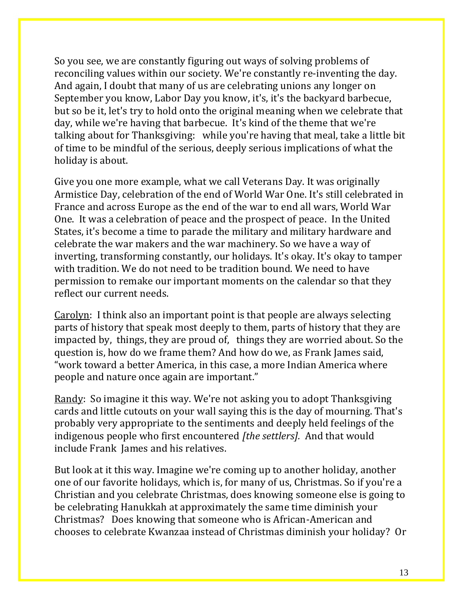So you see, we are constantly figuring out ways of solving problems of reconciling values within our society. We're constantly re-inventing the day. And again, I doubt that many of us are celebrating unions any longer on September you know, Labor Day you know, it's, it's the backyard barbecue, but so be it, let's try to hold onto the original meaning when we celebrate that day, while we're having that barbecue. It's kind of the theme that we're talking about for Thanksgiving: while you're having that meal, take a little bit of time to be mindful of the serious, deeply serious implications of what the holiday is about.

Give you one more example, what we call Veterans Day. It was originally Armistice Day, celebration of the end of World War One. It's still celebrated in France and across Europe as the end of the war to end all wars, World War One. It was a celebration of peace and the prospect of peace. In the United States, it's become a time to parade the military and military hardware and celebrate the war makers and the war machinery. So we have a way of inverting, transforming constantly, our holidays. It's okay. It's okay to tamper with tradition. We do not need to be tradition bound. We need to have permission to remake our important moments on the calendar so that they reflect our current needs.

Carolyn: I think also an important point is that people are always selecting parts of history that speak most deeply to them, parts of history that they are impacted by, things, they are proud of, things they are worried about. So the question is, how do we frame them? And how do we, as Frank James said, "work toward a better America, in this case, a more Indian America where people and nature once again are important."

Randy: So imagine it this way. We're not asking you to adopt Thanksgiving cards and little cutouts on your wall saying this is the day of mourning. That's probably very appropriate to the sentiments and deeply held feelings of the indigenous people who first encountered *[the settlers].* And that would include Frank James and his relatives.

But look at it this way. Imagine we're coming up to another holiday, another one of our favorite holidays, which is, for many of us, Christmas. So if you're a Christian and you celebrate Christmas, does knowing someone else is going to be celebrating Hanukkah at approximately the same time diminish your Christmas? Does knowing that someone who is African-American and chooses to celebrate Kwanzaa instead of Christmas diminish your holiday? Or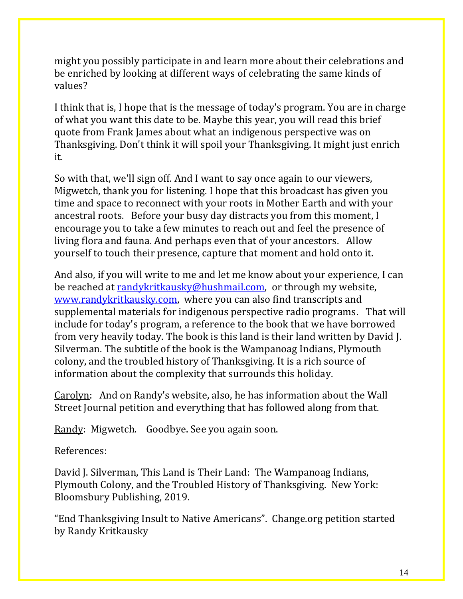might you possibly participate in and learn more about their celebrations and be enriched by looking at different ways of celebrating the same kinds of values?

I think that is, I hope that is the message of today's program. You are in charge of what you want this date to be. Maybe this year, you will read this brief quote from Frank James about what an indigenous perspective was on Thanksgiving. Don't think it will spoil your Thanksgiving. It might just enrich it.

So with that, we'll sign off. And I want to say once again to our viewers, Migwetch, thank you for listening. I hope that this broadcast has given you time and space to reconnect with your roots in Mother Earth and with your ancestral roots. Before your busy day distracts you from this moment, I encourage you to take a few minutes to reach out and feel the presence of living flora and fauna. And perhaps even that of your ancestors. Allow yourself to touch their presence, capture that moment and hold onto it.

And also, if you will write to me and let me know about your experience, I can be reached at [randykritkausky@hushmail.com,](mailto:randykritkausky@hushmail.com) or through my website, [www.randykritkausky.com,](http://www.randykritkausky.com/) where you can also find transcripts and supplemental materials for indigenous perspective radio programs. That will include for today's program, a reference to the book that we have borrowed from very heavily today. The book is this land is their land written by David J. Silverman. The subtitle of the book is the Wampanoag Indians, Plymouth colony, and the troubled history of Thanksgiving. It is a rich source of information about the complexity that surrounds this holiday.

Carolyn: And on Randy's website, also, he has information about the Wall Street Journal petition and everything that has followed along from that.

Randy: Migwetch. Goodbye. See you again soon.

References:

David J. Silverman, This Land is Their Land: The Wampanoag Indians, Plymouth Colony, and the Troubled History of Thanksgiving. New York: Bloomsbury Publishing, 2019.

"End Thanksgiving Insult to Native Americans". Change.org petition started by Randy Kritkausky